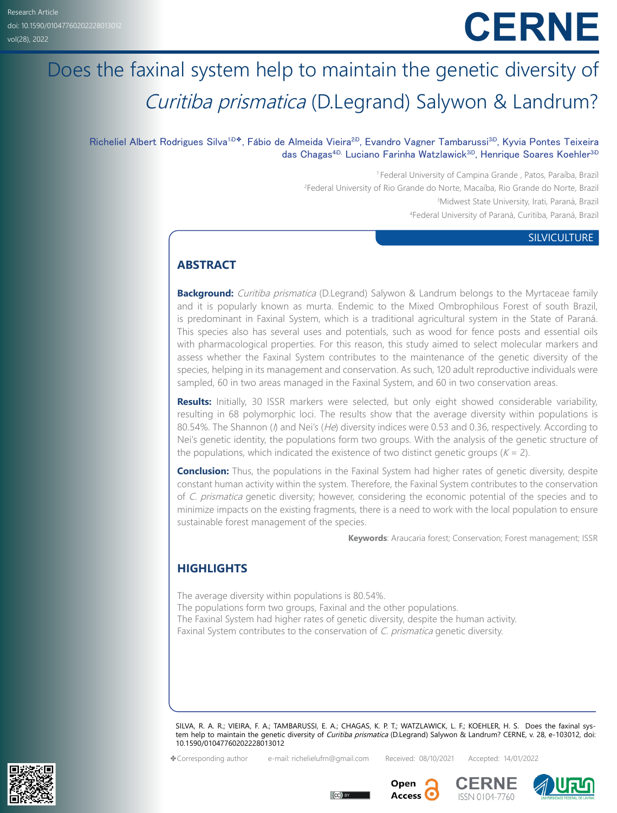# **CERNE**

# Does the faxinal system help to maintain the genetic diversity of Curitiba prismatica (D.Legrand) Salywon & Landrum?

# Richeliel Albert Rodrigues Silva<sup>[1iD](https://orcid.org/0000-0002-8098-4155)◆</sup>, Fábio de Almeida Vieira<sup>2iD</sup>, Evandro Vagner Tambarussi<sup>[3iD](https://orcid.org/0000-0001-9478-5379)</sup>, Kyvia Pontes Teixeira das Chagas<sup>[4iD](https://orcid.org/0000-0003-1361-3204),</sup> Luciano Farinha Watzlawick<sup>[3iD](https://orcid.org/0000-0001-7727-7049)</sup>, Henrique Soares Koehler<sup>3iD</sup>

1 Federal University of Campina Grande , Patos, Paraíba, Brazil Federal University of Rio Grande do Norte, Macaíba, Rio Grande do Norte, Brazil Midwest State University, Irati, Paraná, Brazil Federal University of Paraná, Curitiba, Paraná, Brazil

#### **SILVICULTURE**

# **ABSTRACT**

**Background:** Curitiba prismatica (D.Legrand) Salywon & Landrum belongs to the Myrtaceae family and it is popularly known as murta. Endemic to the Mixed Ombrophilous Forest of south Brazil, is predominant in Faxinal System, which is a traditional agricultural system in the State of Paraná. This species also has several uses and potentials, such as wood for fence posts and essential oils with pharmacological properties. For this reason, this study aimed to select molecular markers and assess whether the Faxinal System contributes to the maintenance of the genetic diversity of the species, helping in its management and conservation. As such, 120 adult reproductive individuals were sampled, 60 in two areas managed in the Faxinal System, and 60 in two conservation areas.

**Results:** Initially, 30 ISSR markers were selected, but only eight showed considerable variability, resulting in 68 polymorphic loci. The results show that the average diversity within populations is 80.54%. The Shannon ( $\eta$ ) and Nei's (He) diversity indices were 0.53 and 0.36, respectively. According to Nei's genetic identity, the populations form two groups. With the analysis of the genetic structure of the populations, which indicated the existence of two distinct genetic groups ( $K = 2$ ).

**Conclusion:** Thus, the populations in the Faxinal System had higher rates of genetic diversity, despite constant human activity within the system. Therefore, the Faxinal System contributes to the conservation of C. prismatica genetic diversity; however, considering the economic potential of the species and to minimize impacts on the existing fragments, there is a need to work with the local population to ensure sustainable forest management of the species.

**Keywords**: Araucaria forest; Conservation; Forest management; ISSR

# **HIGHLIGHTS**

The average diversity within populations is 80.54%. The populations form two groups, Faxinal and the other populations. The Faxinal System had higher rates of genetic diversity, despite the human activity. Faxinal System contributes to the conservation of C. prismatica genetic diversity.

SILVA, R. A. R.; VIEIRA, F. A.; TAMBARUSSI, E. A.; CHAGAS, K. P. T.; WATZLAWICK, L. F.; KOEHLER, H. S. Does the faxinal system help to maintain the genetic diversity of Curitiba prismatica (D.Legrand) Salywon & Landrum? CERNE, v. 28, e-103012, doi: 10.1590/01047760202228013012

> Open Access<sup>C</sup>

✤Corresponding author e-mail: richelielufrn@gmail.com Received: 08/10/2021 Accepted: 14/01/2022







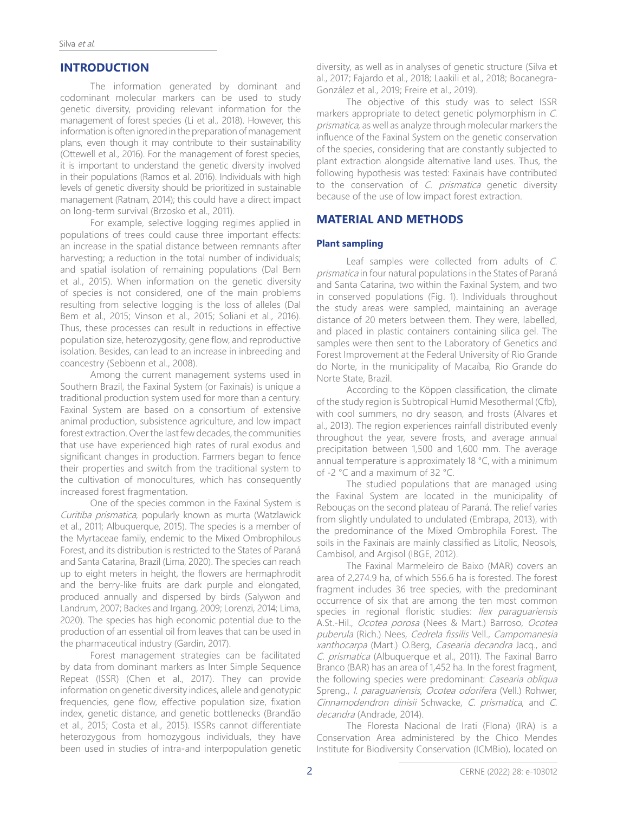# **INTRODUCTION**

The information generated by dominant and codominant molecular markers can be used to study genetic diversity, providing relevant information for the management of forest species (Li et al., 2018). However, this information is often ignored in the preparation of management plans, even though it may contribute to their sustainability (Ottewell et al., 2016). For the management of forest species, it is important to understand the genetic diversity involved in their populations (Ramos et al. 2016). Individuals with high levels of genetic diversity should be prioritized in sustainable management (Ratnam, 2014); this could have a direct impact on long-term survival (Brzosko et al., 2011).

For example, selective logging regimes applied in populations of trees could cause three important effects: an increase in the spatial distance between remnants after harvesting; a reduction in the total number of individuals; and spatial isolation of remaining populations (Dal Bem et al., 2015). When information on the genetic diversity of species is not considered, one of the main problems resulting from selective logging is the loss of alleles (Dal Bem et al., 2015; Vinson et al., 2015; Soliani et al., 2016). Thus, these processes can result in reductions in effective population size, heterozygosity, gene flow, and reproductive isolation. Besides, can lead to an increase in inbreeding and coancestry (Sebbenn et al., 2008).

Among the current management systems used in Southern Brazil, the Faxinal System (or Faxinais) is unique a traditional production system used for more than a century. Faxinal System are based on a consortium of extensive animal production, subsistence agriculture, and low impact forest extraction. Over the last few decades, the communities that use have experienced high rates of rural exodus and significant changes in production. Farmers began to fence their properties and switch from the traditional system to the cultivation of monocultures, which has consequently increased forest fragmentation.

One of the species common in the Faxinal System is Curitiba prismatica, popularly known as murta (Watzlawick et al., 2011; Albuquerque, 2015). The species is a member of the Myrtaceae family, endemic to the Mixed Ombrophilous Forest, and its distribution is restricted to the States of Paraná and Santa Catarina, Brazil (Lima, 2020). The species can reach up to eight meters in height, the flowers are hermaphrodit and the berry-like fruits are dark purple and elongated, produced annually and dispersed by birds (Salywon and Landrum, 2007; Backes and Irgang, 2009; Lorenzi, 2014; Lima, 2020). The species has high economic potential due to the production of an essential oil from leaves that can be used in the pharmaceutical industry (Gardin, 2017).

Forest management strategies can be facilitated by data from dominant markers as Inter Simple Sequence Repeat (ISSR) (Chen et al., 2017). They can provide information on genetic diversity indices, allele and genotypic frequencies, gene flow, effective population size, fixation index, genetic distance, and genetic bottlenecks (Brandão et al., 2015; Costa et al., 2015). ISSRs cannot differentiate heterozygous from homozygous individuals, they have been used in studies of intra-and interpopulation genetic

diversity, as well as in analyses of genetic structure (Silva et al., 2017; Fajardo et al., 2018; Laakili et al., 2018; Bocanegra-González et al., 2019; Freire et al., 2019).

The objective of this study was to select ISSR markers appropriate to detect genetic polymorphism in C. prismatica, as well as analyze through molecular markers the influence of the Faxinal System on the genetic conservation of the species, considering that are constantly subjected to plant extraction alongside alternative land uses. Thus, the following hypothesis was tested: Faxinais have contributed to the conservation of C. prismatica genetic diversity because of the use of low impact forest extraction.

# **MATERIAL AND METHODS**

#### **Plant sampling**

Leaf samples were collected from adults of C. prismatica in four natural populations in the States of Paraná and Santa Catarina, two within the Faxinal System, and two in conserved populations (Fig. 1). Individuals throughout the study areas were sampled, maintaining an average distance of 20 meters between them. They were, labelled, and placed in plastic containers containing silica gel. The samples were then sent to the Laboratory of Genetics and Forest Improvement at the Federal University of Rio Grande do Norte, in the municipality of Macaíba, Rio Grande do Norte State, Brazil.

According to the Köppen classification, the climate of the study region is Subtropical Humid Mesothermal (Cfb), with cool summers, no dry season, and frosts (Alvares et al., 2013). The region experiences rainfall distributed evenly throughout the year, severe frosts, and average annual precipitation between 1,500 and 1,600 mm. The average annual temperature is approximately 18 °C, with a minimum of -2 °C and a maximum of 32 °C.

The studied populations that are managed using the Faxinal System are located in the municipality of Rebouças on the second plateau of Paraná. The relief varies from slightly undulated to undulated (Embrapa, 2013), with the predominance of the Mixed Ombrophila Forest. The soils in the Faxinais are mainly classified as Litolic, Neosols, Cambisol, and Argisol (IBGE, 2012).

The Faxinal Marmeleiro de Baixo (MAR) covers an area of 2,274.9 ha, of which 556.6 ha is forested. The forest fragment includes 36 tree species, with the predominant occurrence of six that are among the ten most common species in regional floristic studies: Ilex paraguariensis A.St.-Hil., Ocotea porosa (Nees & Mart.) Barroso, Ocotea puberula (Rich.) Nees, Cedrela fissilis Vell., Campomanesia xanthocarpa (Mart.) O.Berg, Casearia decandra Jacq., and C. prismatica (Albuquerque et al., 2011). The Faxinal Barro Branco (BAR) has an area of 1,452 ha. In the forest fragment, the following species were predominant: Casearia obliqua Spreng., I. paraguariensis, Ocotea odorifera (Vell.) Rohwer, Cinnamodendron dinisii Schwacke, C. prismatica, and C. decandra (Andrade, 2014).

The Floresta Nacional de Irati (Flona) (IRA) is a Conservation Area administered by the Chico Mendes Institute for Biodiversity Conservation (ICMBio), located on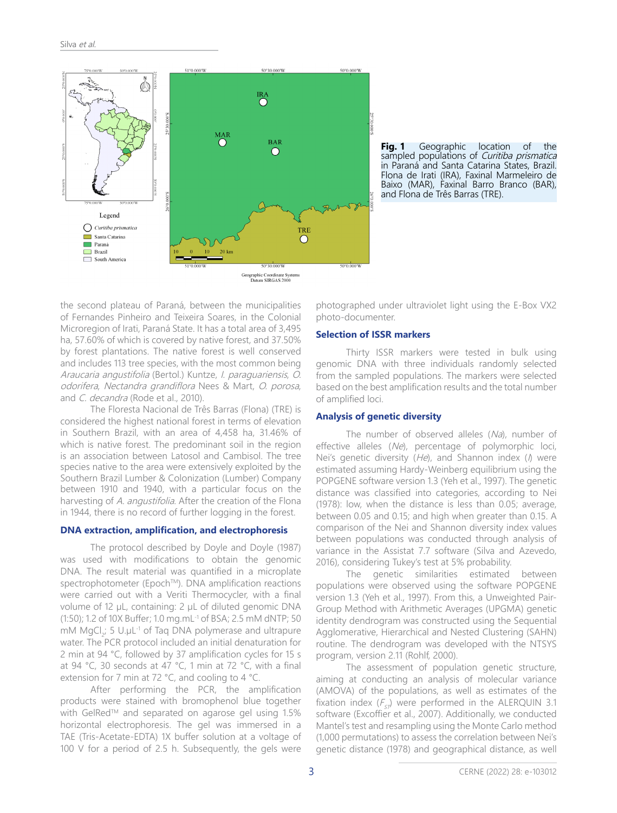

**Fig. 1** Geographic location of the sampled populations of *Curitiba prismatica* in Paraná and Santa Catarina States, Brazil. Flona de Irati (IRA), Faxinal Marmeleiro de Baixo (MAR), Faxinal Barro Branco (BAR), and Flona de Três Barras (TRE).

the second plateau of Paraná, between the municipalities of Fernandes Pinheiro and Teixeira Soares, in the Colonial Microregion of Irati, Paraná State. It has a total area of 3,495 ha, 57.60% of which is covered by native forest, and 37.50% by forest plantations. The native forest is well conserved and includes 113 tree species, with the most common being Araucaria angustifolia (Bertol.) Kuntze, I. paraguariensis, O. odorifera, Nectandra grandiflora Nees & Mart, O. porosa, and C. decandra (Rode et al., 2010).

The Floresta Nacional de Três Barras (Flona) (TRE) is considered the highest national forest in terms of elevation in Southern Brazil, with an area of 4,458 ha, 31.46% of which is native forest. The predominant soil in the region is an association between Latosol and Cambisol. The tree species native to the area were extensively exploited by the Southern Brazil Lumber & Colonization (Lumber) Company between 1910 and 1940, with a particular focus on the harvesting of A. angustifolia. After the creation of the Flona in 1944, there is no record of further logging in the forest.

#### **DNA extraction, amplification, and electrophoresis**

The protocol described by Doyle and Doyle (1987) was used with modifications to obtain the genomic DNA. The result material was quantified in a microplate spectrophotometer (Epoch™). DNA amplification reactions were carried out with a Veriti Thermocycler, with a final volume of 12 μL, containing: 2 μL of diluted genomic DNA (1:50); 1.2 of 10X Buffer; 1.0 mg.mL-1 of BSA; 2.5 mM dNTP; 50 mM MgCl<sub>2</sub>; 5 U.µL<sup>-1</sup> of Taq DNA polymerase and ultrapure water. The PCR protocol included an initial denaturation for 2 min at 94 °C, followed by 37 amplification cycles for 15 s at 94 °C, 30 seconds at 47 °C, 1 min at 72 °C, with a final extension for 7 min at 72 °C, and cooling to 4 °C.

After performing the PCR, the amplification products were stained with bromophenol blue together with GelRed™ and separated on agarose gel using 1.5% horizontal electrophoresis. The gel was immersed in a TAE (Tris-Acetate-EDTA) 1X buffer solution at a voltage of 100 V for a period of 2.5 h. Subsequently, the gels were

photographed under ultraviolet light using the E-Box VX2 photo-documenter.

#### **Selection of ISSR markers**

Thirty ISSR markers were tested in bulk using genomic DNA with three individuals randomly selected from the sampled populations. The markers were selected based on the best amplification results and the total number of amplified loci.

#### **Analysis of genetic diversity**

The number of observed alleles (Na), number of effective alleles (Ne), percentage of polymorphic loci, Nei's genetic diversity  $(He)$ , and Shannon index ( $\theta$ ) were estimated assuming Hardy-Weinberg equilibrium using the POPGENE software version 1.3 (Yeh et al., 1997). The genetic distance was classified into categories, according to Nei (1978): low, when the distance is less than 0.05; average, between 0.05 and 0.15; and high when greater than 0.15. A comparison of the Nei and Shannon diversity index values between populations was conducted through analysis of variance in the Assistat 7.7 software (Silva and Azevedo, 2016), considering Tukey's test at 5% probability.

The genetic similarities estimated between populations were observed using the software POPGENE version 1.3 (Yeh et al., 1997). From this, a Unweighted Pair-Group Method with Arithmetic Averages (UPGMA) genetic identity dendrogram was constructed using the Sequential Agglomerative, Hierarchical and Nested Clustering (SAHN) routine. The dendrogram was developed with the NTSYS program, version 2.11 (Rohlf, 2000).

The assessment of population genetic structure, aiming at conducting an analysis of molecular variance (AMOVA) of the populations, as well as estimates of the fixation index ( $F_{\text{cr}}$ ) were performed in the ALERQUIN 3.1 software (Excoffier et al., 2007). Additionally, we conducted Mantel's test and resampling using the Monte Carlo method (1,000 permutations) to assess the correlation between Nei's genetic distance (1978) and geographical distance, as well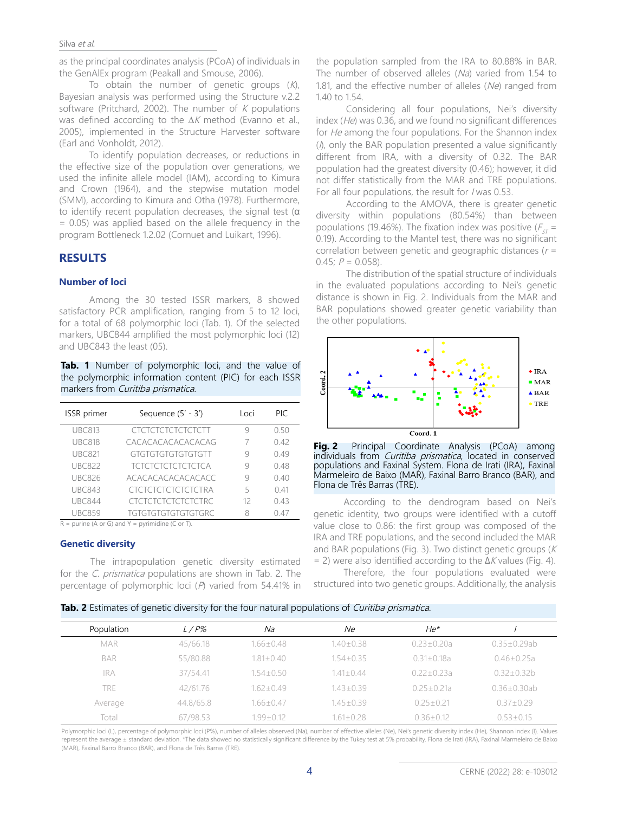#### Silva et al.

as the principal coordinates analysis (PCoA) of individuals in the GenAlEx program (Peakall and Smouse, 2006).

To obtain the number of genetic groups  $(K)$ , Bayesian analysis was performed using the Structure v.2.2 software (Pritchard, 2002). The number of  $K$  populations was defined according to the ∆K method (Evanno et al., 2005), implemented in the Structure Harvester software (Earl and Vonholdt, 2012).

To identify population decreases, or reductions in the effective size of the population over generations, we used the infinite allele model (IAM), according to Kimura and Crown (1964), and the stepwise mutation model (SMM), according to Kimura and Otha (1978). Furthermore, to identify recent population decreases, the signal test (α = 0.05) was applied based on the allele frequency in the program Bottleneck 1.2.02 (Cornuet and Luikart, 1996).

# **RESULTS**

#### **Number of loci**

Among the 30 tested ISSR markers, 8 showed satisfactory PCR amplification, ranging from 5 to 12 loci, for a total of 68 polymorphic loci (Tab. 1). Of the selected markers, UBC844 amplified the most polymorphic loci (12) and UBC843 the least (05).

**Tab. 1** Number of polymorphic loci, and the value of the polymorphic information content (PIC) for each ISSR markers from Curitiba prismatica.

| <b>ISSR</b> primer | Sequence $(5' - 3')$        | Loci | PIC. |
|--------------------|-----------------------------|------|------|
| <b>UBC813</b>      | CTCTCTCTCTCTCTCTT           | Ч    | 0.50 |
| <b>UBC818</b>      | CACACACACACACACAG           |      | 0.42 |
| <b>UBC821</b>      | GTGTGTGTGTGTGTGTT           | 9    | 0.49 |
| <b>UBC822</b>      | <b>TCTCTCTCTCTCTCTCA</b>    | 9    | 0.48 |
| <b>UBC826</b>      | ACACACACACACACACC           | 9    | 0.40 |
| <b>UBC843</b>      | CTCTCTCTCTCTCTCTRA          | 5    | 0.41 |
| <b>UBC844</b>      | <b>CTCTCTCTCTCTCTCTRC</b>   | 12   | 0.43 |
| <b>UBC859</b>      | <b>TGTGTGTGTGTGTGTGTGRC</b> | 8    | 0.47 |

 $R =$  purine (A or G) and Y = pyrimidine (C or T).

#### **Genetic diversity**

The intrapopulation genetic diversity estimated for the *C. prismatica* populations are shown in Tab. 2. The percentage of polymorphic loci (P) varied from 54.41% in

the population sampled from the IRA to 80.88% in BAR. The number of observed alleles (Na) varied from 1.54 to 1.81, and the effective number of alleles (Ne) ranged from 1.40 to 1.54.

Considering all four populations, Nei's diversity index (He) was 0.36, and we found no significant differences for He among the four populations. For the Shannon index  $(1)$ , only the BAR population presented a value significantly different from IRA, with a diversity of 0.32. The BAR population had the greatest diversity (0.46); however, it did not differ statistically from the MAR and TRE populations. For all four populations, the result for *I* was 0.53.

According to the AMOVA, there is greater genetic diversity within populations (80.54%) than between populations (19.46%). The fixation index was positive ( $F_{cr}$  = 0.19). According to the Mantel test, there was no significant correlation between genetic and geographic distances ( $r =$ 0.45;  $P = 0.058$ ).

The distribution of the spatial structure of individuals in the evaluated populations according to Nei's genetic distance is shown in Fig. 2. Individuals from the MAR and BAR populations showed greater genetic variability than the other populations.





According to the dendrogram based on Nei's genetic identity, two groups were identified with a cutoff value close to 0.86: the first group was composed of the IRA and TRE populations, and the second included the MAR and BAR populations (Fig. 3). Two distinct genetic groups ( $K$  $=$  2) were also identified according to the  $\Delta K$  values (Fig. 4).

Therefore, the four populations evaluated were structured into two genetic groups. Additionally, the analysis

|  |  | Tab. 2 Estimates of genetic diversity for the four natural populations of Curitiba prismatica. |
|--|--|------------------------------------------------------------------------------------------------|
|  |  |                                                                                                |
|  |  |                                                                                                |
|  |  |                                                                                                |

| Population | L/P%      | Na              | Ne.             | He*              |                    |
|------------|-----------|-----------------|-----------------|------------------|--------------------|
| <b>MAR</b> | 45/66.18  | $1.66 + 0.48$   | $1.40 + 0.38$   | $0.23 + 0.20a$   | $0.35 \pm 0.29$ ab |
| <b>BAR</b> | 55/80.88  | $1.81 \pm 0.40$ | $1.54 + 0.35$   | $0.31 \pm 0.18a$ | $0.46 + 0.25a$     |
| <b>IRA</b> | 37/54.41  | $1.54 + 0.50$   | $1.41 \pm 0.44$ | $0.22 + 0.23a$   | $0.32 + 0.32b$     |
| TRE        | 42/61.76  | $1.62 + 0.49$   | $1.43 + 0.39$   | $0.25 + 0.21a$   | $0.36 \pm 0.30$ ab |
| Average    | 44.8/65.8 | $1.66 + 0.47$   | $1.45 + 0.39$   | $0.25 + 0.21$    | $0.37 + 0.29$      |
| Total      | 67/98.53  | $1.99 + 0.12$   | $1.61 \pm 0.28$ | $0.36 \pm 0.12$  | $0.53 \pm 0.15$    |

Polymorphic loci (L), percentage of polymorphic loci (P%), number of alleles observed (Na), number of effective alleles (Ne), Nei's genetic diversity index (He), Shannon index (I). Values represent the average ± standard deviation. \*The data showed no statistically significant difference by the Tukey test at 5% probability. Flona de Irati (IRA), Faxinal Marmeleiro de Baixo (MAR), Faxinal Barro Branco (BAR), and Flona de Três Barras (TRE).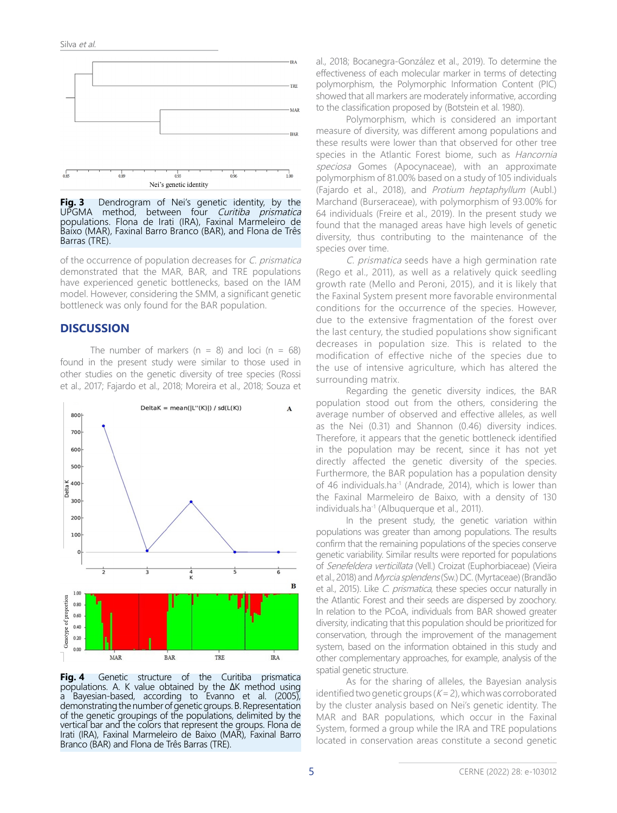

**Fig. 3** Dendrogram of Nei's genetic identity, by the UPGMA method, between four Curitiba prismatica populations. Flona de Irati (IRA), Faxinal Marmeleiro de Baixo (MAR), Faxinal Barro Branco (BAR), and Flona de Três Barras (TRE).

of the occurrence of population decreases for C. prismatica demonstrated that the MAR, BAR, and TRE populations have experienced genetic bottlenecks, based on the IAM model. However, considering the SMM, a significant genetic bottleneck was only found for the BAR population.

#### **DISCUSSION**

The number of markers ( $n = 8$ ) and loci ( $n = 68$ ) found in the present study were similar to those used in other studies on the genetic diversity of tree species (Rossi et al., 2017; Fajardo et al., 2018; Moreira et al., 2018; Souza et



**Fig. 4** Genetic structure of the Curitiba prismatica populations. A. K value obtained by the ΔK method using a Bayesian-based, according to Evanno et al. (2005), demonstrating the number of genetic groups. B. Representation of the genetic groupings of the populations, delimited by the vertical bar and the colors that represent the groups. Flona de Irati (IRA), Faxinal Marmeleiro de Baixo (MAR), Faxinal Barro Branco (BAR) and Flona de Três Barras (TRE).

al., 2018; Bocanegra-González et al., 2019). To determine the effectiveness of each molecular marker in terms of detecting polymorphism, the Polymorphic Information Content (PIC) showed that all markers are moderately informative, according to the classification proposed by (Botstein et al. 1980).

Polymorphism, which is considered an important measure of diversity, was different among populations and these results were lower than that observed for other tree species in the Atlantic Forest biome, such as *Hancornia* speciosa Gomes (Apocynaceae), with an approximate polymorphism of 81.00% based on a study of 105 individuals (Fajardo et al., 2018), and Protium heptaphyllum (Aubl.) Marchand (Burseraceae), with polymorphism of 93.00% for 64 individuals (Freire et al., 2019). In the present study we found that the managed areas have high levels of genetic diversity, thus contributing to the maintenance of the species over time.

C. prismatica seeds have a high germination rate (Rego et al., 2011), as well as a relatively quick seedling growth rate (Mello and Peroni, 2015), and it is likely that the Faxinal System present more favorable environmental conditions for the occurrence of the species. However, due to the extensive fragmentation of the forest over the last century, the studied populations show significant decreases in population size. This is related to the modification of effective niche of the species due to the use of intensive agriculture, which has altered the surrounding matrix.

Regarding the genetic diversity indices, the BAR population stood out from the others, considering the average number of observed and effective alleles, as well as the Nei (0.31) and Shannon (0.46) diversity indices. Therefore, it appears that the genetic bottleneck identified in the population may be recent, since it has not yet directly affected the genetic diversity of the species. Furthermore, the BAR population has a population density of 46 individuals.ha<sup>-1</sup> (Andrade, 2014), which is lower than the Faxinal Marmeleiro de Baixo, with a density of 130 individuals.ha<sup>-1</sup> (Albuquerque et al., 2011).

In the present study, the genetic variation within populations was greater than among populations. The results confirm that the remaining populations of the species conserve genetic variability. Similar results were reported for populations of Senefeldera verticillata (Vell.) Croizat (Euphorbiaceae) (Vieira et al., 2018) and Myrcia splendens (Sw.) DC. (Myrtaceae) (Brandão et al., 2015). Like C. prismatica, these species occur naturally in the Atlantic Forest and their seeds are dispersed by zoochory. In relation to the PCoA, individuals from BAR showed greater diversity, indicating that this population should be prioritized for conservation, through the improvement of the management system, based on the information obtained in this study and other complementary approaches, for example, analysis of the spatial genetic structure.

As for the sharing of alleles, the Bayesian analysis identified two genetic groups ( $K = 2$ ), which was corroborated by the cluster analysis based on Nei's genetic identity. The MAR and BAR populations, which occur in the Faxinal System, formed a group while the IRA and TRE populations located in conservation areas constitute a second genetic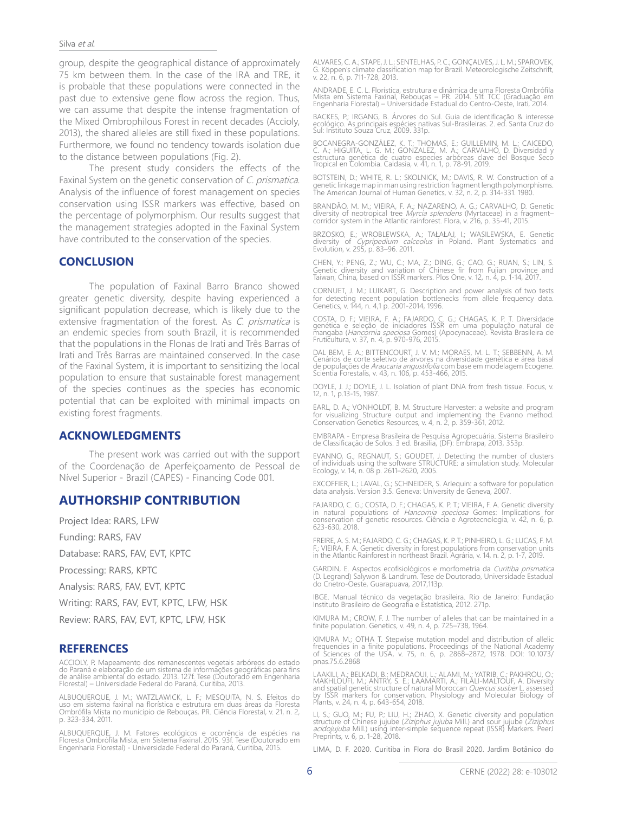#### Silva et al.

group, despite the geographical distance of approximately 75 km between them. In the case of the IRA and TRE, it is probable that these populations were connected in the past due to extensive gene flow across the region. Thus, we can assume that despite the intense fragmentation of the Mixed Ombrophilous Forest in recent decades (Accioly, 2013), the shared alleles are still fixed in these populations. Furthermore, we found no tendency towards isolation due to the distance between populations (Fig. 2).

The present study considers the effects of the Faxinal System on the genetic conservation of C. prismatica. Analysis of the influence of forest management on species conservation using ISSR markers was effective, based on the percentage of polymorphism. Our results suggest that the management strategies adopted in the Faxinal System have contributed to the conservation of the species.

#### **CONCLUSION**

The population of Faxinal Barro Branco showed greater genetic diversity, despite having experienced a significant population decrease, which is likely due to the extensive fragmentation of the forest. As C. prismatica is an endemic species from south Brazil, it is recommended that the populations in the Flonas de Irati and Três Barras of Irati and Três Barras are maintained conserved. In the case of the Faxinal System, it is important to sensitizing the local population to ensure that sustainable forest management of the species continues as the species has economic potential that can be exploited with minimal impacts on existing forest fragments.

#### **ACKNOWLEDGMENTS**

The present work was carried out with the support of the Coordenação de Aperfeiçoamento de Pessoal de Nível Superior - Brazil (CAPES) - Financing Code 001.

# **AUTHORSHIP CONTRIBUTION**

Project Idea: RARS, LFW

Funding: RARS, FAV

Database: RARS, FAV, EVT, KPTC

Processing: RARS, KPTC

Analysis: RARS, FAV, EVT, KPTC

Writing: RARS, FAV, EVT, KPTC, LFW, HSK

Review: RARS, FAV, EVT, KPTC, LFW, HSK

#### **REFERENCES**

ACCIOLY, P. Mapeamento dos remanescentes vegetais arbóreos do estado<br>do Paraná e elaboração de um sistema de informações geográficas para fins<br>de análise ambiental do estado. 2013. 127f. Tese (Doutorado em Engenharia<br>Flore

ALBUQUERQUE, J. M.; WATZLAWICK, L. F.; MESQUITA, N. S. Efeitos do<br>uso em sistema faxinal na florística e estrutura em duas áreas da Floresta<br>Ombrófila Mista no munícipio de Rebouças, PR. Ciência Florestal, v. 21, n. 2, p. 323-334, 2011.

ALBUQUERQUE, J. M. Fatores ecológicos e ocorrência de espécies na Floresta Ombrófila Mista, em Sistema Faxinal. 2015. 93f. Tese (Doutorado em Engenharia Florestal) - Universidade Federal do Paraná, Curitiba, 2015.

ALVARES, C. A.; STAPE, J. L.; SENTELHAS, P. C.; GONÇALVES, J. L. M.; SPAROVEK, G. Köppen's climate classification map for Brazil. Meteorologische Zeitschrift, v. 22, n. 6, p. 711-728, 2013.

ANDRADE, E. C. L. Florística, estrutura e dinâmica de uma Floresta Ombrófila<br>Mista em Sistema Faxinal, Rebouças — PR. 2014. 51f. TCC (Graduação em<br>Engenharia Florestal) — Universidade Estadual do Centro-Oeste, Irati, 2014.

BACKES, P.; IRGANG, B. Árvores do Sul. Guia de identificação & interesse ecológico. As principais espécies nativas Sul-Brasileiras. 2. ed. Santa Cruz do Sul: Instituto Souza Cruz, 2009. 331p.

BOCANEGRA-GONZALEZ, K. T.; THOMAS, E.; GUILLEMIN, M. L.; CAICEDO,<br>C. A.; HIGUITA, L. G. M.; GONZALEZ, M. A.; CARVALHO, D. Diversidad y<br>estructura genética de cuatro especies arbóreas clave del Bosque Seco<br>Tropical en Colom

BOTSTEIN, D.; WHITE, R. L.; SKOLNICK, M.; DAVIS, R. W. Construction of a genetic linkage map in man using restriction fragment length polymorphisms. The American Journal of Human Genetics, v. 32, n. 2, p. 314-331. 1980.

BRANDAO, M. M.; VIEIRA, F. A.; NAZARENO, A. G.; CARVALHO, D. Genetic<br>diversity of neotropical tree *Myrcia splendens* (Myrtaceae) in a fragment– corridor system in the Atlantic rainforest. Flora, v. 216, p. 35-41, 2015.

BRZOSKO, E.; WROBLEWSKA, A.; TAŁAŁAJ, I.; WASILEWSKA, E. Genetic<br>diversity of *Cypripedium calceolus* in Poland. Plant Systematics and<br>Evolution, v. 295, p. 83–96. 2011.

CHEN, Y.; PENG, Z.; WU, C.; MA, Z.; DING, G.; CAO, G.; RUAN, S.; LIN, S.<br>Genetic diversity and variation of Chinese fir from Fujian province and<br>Taiwan, China, based on ISSR markers. Plos One, v. 12, n. 4, p. 1-14, 2017.

CORNUET, J. M.; LUIKART, G. Description and power analysis of two tests for detecting recent population bottlenecks from allele frequency data. Genetics, v. 144, n. 4,1 p. 2001-2014, 1996.

COSTA, D. F.; VIEIRA, F. A.; FAJARDO, C. G.; CHAGAS, K. P. T. Diversidade<br>genética e seleção de iniciadores ISSR em uma população natural de<br>mangaba (*Hancornia speciosa* Gomes) (Apocynaceae). Revista Brasileira de<br>Fruticu

DAL BEM, E. A.; BITTENCOURT, J. V. M.; MORAES, M. L. T.; SEBBENN, A. M. Cenários de corte seletivo de árvores na diversidade genética e área basal<br>de populações de *Araucaria angustifolia* com base em modelagem Ecogene.<br>Scientia Forestalis, v. 43, n. 106, p. 453-466, 2015.

DOYLE, J. J.; DOYLE, J. L. Isolation of plant DNA from fresh tissue. Focus, v. 12, n. 1, p.13-15, 1987.

EARL, D. A.; VONHOLDT, B. M. Structure Harvester: a website and program for visualizing Structure output and implementing the Evanno method. Conservation Genetics Resources, v. 4, n. 2, p. 359-361, 2012.

EMBRAPA - Empresa Brasileira de Pesquisa Agropecuária. Sistema Brasileiro de Classificação de Solos. 3 ed. Brasilia, (DF): Embrapa, 2013, 353p.

EVANNO, G.; REGNAUT, S.; GOUDET, J. Detecting the number of clusters of individuals using the software STRUCTURE: a simulation study. Molecular Ecology, v. 14, n. 08 p. 2611–2620, 2005.

EXCOFFIER, L.; LAVAL, G.; SCHNEIDER, S. Arlequin: a software for population data analysis. Version 3.5. Geneva: University de Geneva, 2007.

FAJARDO, C. G.; COSTA, D. F.; CHAGAS, K. P. T.; VIEIRA, F. A. Genetic diversity in natural populations of *Hancornia speciosa* Gomes: Implications for<br>conservation of genetic resources. Ciência e Agrotecnologia, v. 42, n. 6, p. 623-630, 2018.

FREIRE, A. S. M.; FAJARDO, C. G.; CHAGAS, K. P. T.; PINHEIRO, L. G.; LUCAS, F. M. F.; VIEIRA, F. A. Genetic diversity in forest populations from conservation units in the Atlantic Rainforest in northeast Brazil. Agrária, v. 14, n. 2, p. 1-7, 2019.

GARDIN, E. Aspectos ecofisiológicos e morfometria da *Curitiba prismatica*<br>(D. Legrand) Salywon & Landrum. Tese de Doutorado, Universidade Estadual do Cnetro-Oeste, Guarapuava, 2017,113p.

IBGE. Manual técnico da vegetação brasileira. Rio de Janeiro: Fundação Instituto Brasileiro de Geografia e Estatística, 2012. 271p.

KIMURA M.; CROW, F. J. The number of alleles that can be maintained in a finite population. Genetics, v. 49, n. 4, p. 725–738, 1964.

KIMURA M.; OTHA T. Stepwise mutation model and distribution of allelic frequencies in a finite populations. Proceedings of the National Academy of Sciences of the USA, v. 75, n. 6, p. 2868–2872, 1978. DOI: 10.1073/ pnas.75.6.2868

LAAKILI, A.; BELKADI, B.; MEDRAOUI, L.; ALAMI, M.; YATRIB, C.; PAKHROU, O.;<br>MAKHLOUFI, M.; ANTRY, S. E.; LAAMARTI, A.; FILALI-MALTOUF, A. Diversity<br>and spatial genetic structure of natural Moroccan *Quercus susber* L. asse

LI, S.; GUO, M.; FU, P.; LIU, H.; ZHAO, X. Genetic diversity and population structure of Chinese jujube (Ziziphus jujuba Mill.) and sour jujube (Ziziphus acidojujuba Mill.) using inter-simple sequence repeat (ISSR) Markers. PeerJ Preprints, v. 6, p. 1-28, 2018.

LIMA, D. F. 2020. Curitiba in Flora do Brasil 2020. Jardim Botânico do